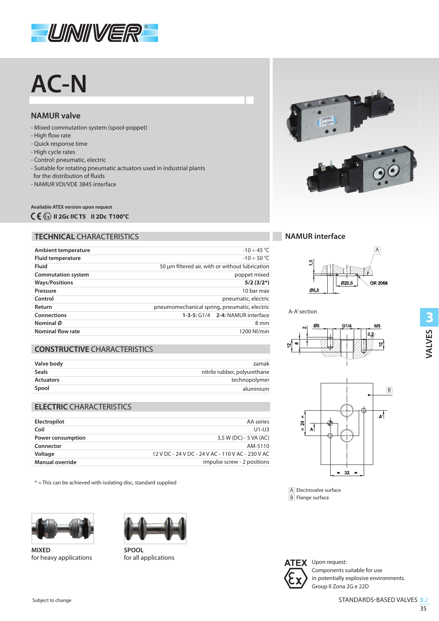

# **AC-N**

# **NAMUR valve**

- Mixed commutation system (spool-poppet)
- High flow rate
- Quick response time
- High cycle rates
- Control: pneumatic, electric
- Suitable for rotating pneumatic actuators used in industrial plants for the distribution of fluids
- NAMUR VDI/VDE 3845 interface

### **Available ATEX version upon request**

#### **II 2Gc IIC T5 II 2Dc T100°C**

#### **TECHNICAL** CHARACTERISTICS

| Ambient temperature       | $-10 \div 45$ °C                                |
|---------------------------|-------------------------------------------------|
| <b>Fluid temperature</b>  | $-10 \div 50$ °C                                |
| Fluid                     | 50 um filtered air, with or without lubrication |
| <b>Commutation system</b> | poppet mixed                                    |
| <b>Ways/Positions</b>     | $5/2(3/2^*)$                                    |
| Pressure                  | 10 bar max                                      |
| Control                   | pneumatic, electric                             |
| Return                    | pneumomechanical spring, pneumatic, electric    |
| Connections               | 1-3-5: G1/4 2-4: NAMUR interface                |
| Nominal Ø                 | 8 mm                                            |
| Nominal flow rate         | 1200 NJ/min                                     |

## **CONSTRUCTIVE** CHARACTERISTICS

| Valve body       | zamak                        |
|------------------|------------------------------|
| <b>Seals</b>     | nitrile rubber, polyurethane |
| <b>Actuators</b> | technopolymer                |
| Spool            | aluminium                    |

### **ELECTRIC** CHARACTERISTICS

| Electropilot      | AA series                                         |
|-------------------|---------------------------------------------------|
| Coil              | $U1-U3$                                           |
| Power consumption | 3,5 W (DC) - 5 VA (AC)                            |
| Connector         | AM-5110                                           |
| Voltage           | 12 V DC - 24 V DC - 24 V AC - 110 V AC - 230 V AC |
| Manual override   | impulse screw - 2 positions                       |
|                   |                                                   |

\* = This can be achieved with isolating disc, standard supplied



**MIXED** for heavy applications



**SPOOL** for all applications



# **NAMUR interface**



#### A-A' section





A Electrovalve surface B Flange surface



**ATEX** Upon request: Components suitable for use in potentially explosive environments. Group II Zona 2G e 22D